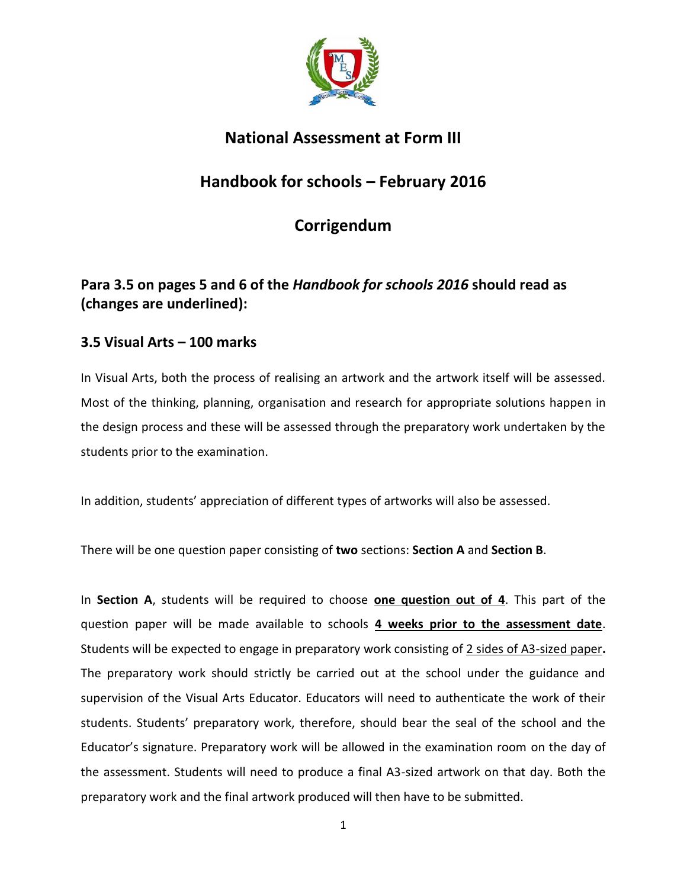

## **National Assessment at Form III**

## **Handbook for schools – February 2016**

# **Corrigendum**

## **Para 3.5 on pages 5 and 6 of the** *Handbook for schools 2016* **should read as (changes are underlined):**

### **3.5 Visual Arts – 100 marks**

In Visual Arts, both the process of realising an artwork and the artwork itself will be assessed. Most of the thinking, planning, organisation and research for appropriate solutions happen in the design process and these will be assessed through the preparatory work undertaken by the students prior to the examination.

In addition, students' appreciation of different types of artworks will also be assessed.

There will be one question paper consisting of **two** sections: **Section A** and **Section B**.

In **Section A**, students will be required to choose **one question out of 4**. This part of the question paper will be made available to schools **4 weeks prior to the assessment date**. Students will be expected to engage in preparatory work consisting of 2 sides of A3-sized paper**.** The preparatory work should strictly be carried out at the school under the guidance and supervision of the Visual Arts Educator. Educators will need to authenticate the work of their students. Students' preparatory work, therefore, should bear the seal of the school and the Educator's signature. Preparatory work will be allowed in the examination room on the day of the assessment. Students will need to produce a final A3-sized artwork on that day. Both the preparatory work and the final artwork produced will then have to be submitted.